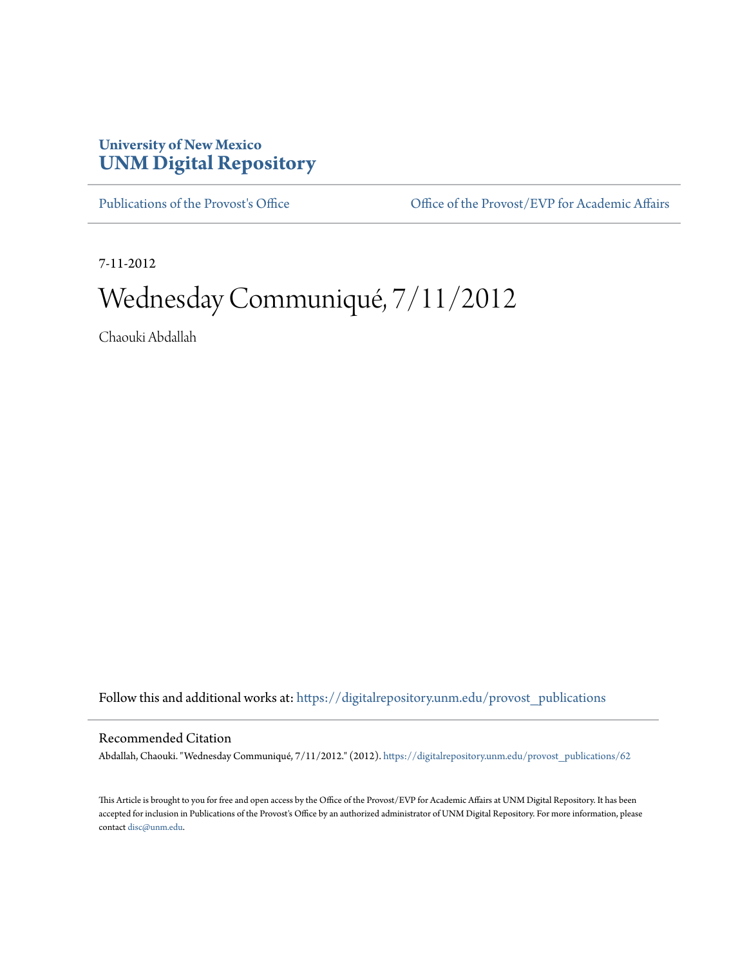## **University of New Mexico [UNM Digital Repository](https://digitalrepository.unm.edu?utm_source=digitalrepository.unm.edu%2Fprovost_publications%2F62&utm_medium=PDF&utm_campaign=PDFCoverPages)**

[Publications of the Provost's Office](https://digitalrepository.unm.edu/provost_publications?utm_source=digitalrepository.unm.edu%2Fprovost_publications%2F62&utm_medium=PDF&utm_campaign=PDFCoverPages) Office [Office of the Provost/EVP for Academic Affairs](https://digitalrepository.unm.edu/ofc_provost?utm_source=digitalrepository.unm.edu%2Fprovost_publications%2F62&utm_medium=PDF&utm_campaign=PDFCoverPages)

7-11-2012

# Wednesday Communiqué, 7/11/2012

Chaouki Abdallah

Follow this and additional works at: [https://digitalrepository.unm.edu/provost\\_publications](https://digitalrepository.unm.edu/provost_publications?utm_source=digitalrepository.unm.edu%2Fprovost_publications%2F62&utm_medium=PDF&utm_campaign=PDFCoverPages)

#### Recommended Citation

Abdallah, Chaouki. "Wednesday Communiqué, 7/11/2012." (2012). [https://digitalrepository.unm.edu/provost\\_publications/62](https://digitalrepository.unm.edu/provost_publications/62?utm_source=digitalrepository.unm.edu%2Fprovost_publications%2F62&utm_medium=PDF&utm_campaign=PDFCoverPages)

This Article is brought to you for free and open access by the Office of the Provost/EVP for Academic Affairs at UNM Digital Repository. It has been accepted for inclusion in Publications of the Provost's Office by an authorized administrator of UNM Digital Repository. For more information, please contact [disc@unm.edu.](mailto:disc@unm.edu)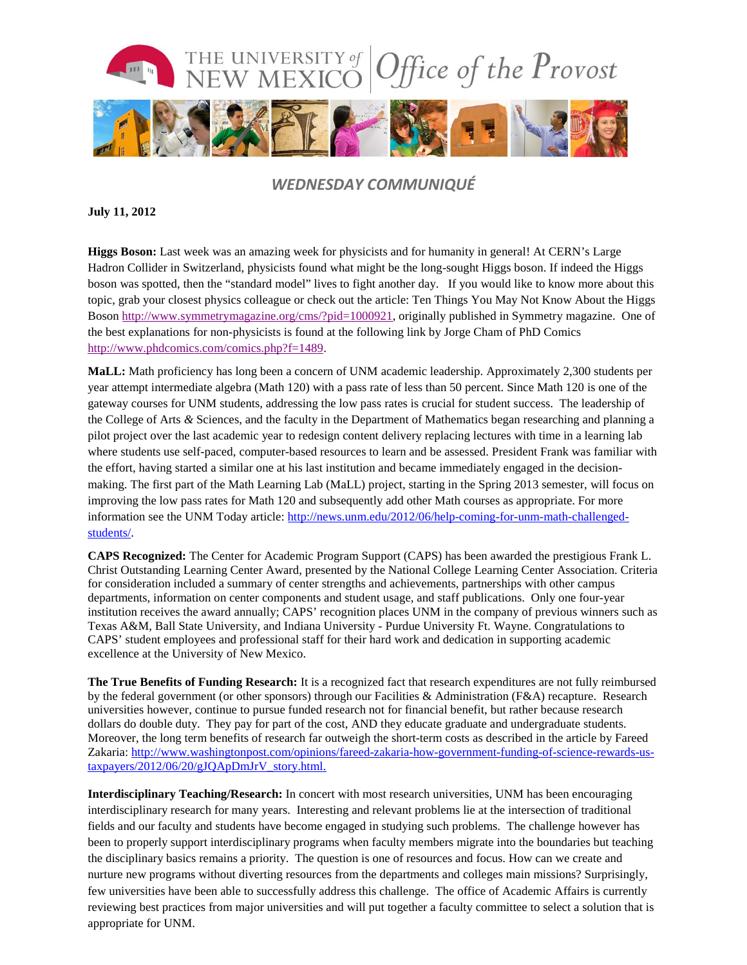

### *WEDNESDAY COMMUNIQUÉ*

#### **July 11, 2012**

**Higgs Boson:** Last week was an amazing week for physicists and for humanity in general! At CERN's Large Hadron Collider in Switzerland, physicists found what might be the long-sought Higgs boson. If indeed the Higgs boson was spotted, then the "standard model" lives to fight another day. If you would like to know more about this topic, grab your closest physics colleague or check out the article: [Ten Things You May Not Know About the Higgs](http://www.symmetrymagazine.org/cms/?pid=1000921)  [Boson](http://www.symmetrymagazine.org/cms/?pid=1000921) [http://www.symmetrymagazine.org/cms/?pid=1000921,](http://www.symmetrymagazine.org/cms/?pid=1000921) originally published in Symmetry magazine. One of the best explanations for non-physicists is found at the following link by [Jorge Cham of PhD Comics](http://www.phdcomics.com/comics.php?f=1489) [http://www.phdcomics.com/comics.php?f=1489.](http://www.phdcomics.com/comics.php?f=1489)

**MaLL:** Math proficiency has long been a concern of UNM academic leadership. Approximately 2,300 students per year attempt intermediate algebra (Math 120) with a pass rate of less than 50 percent. Since Math 120 is one of the gateway courses for UNM students, addressing the low pass rates is crucial for student success. The leadership of the College of Arts *&* Sciences, and the faculty in the Department of Mathematics began researching and planning a pilot project over the last academic year to redesign content delivery replacing lectures with time in a learning lab where students use self-paced, computer-based resources to learn and be assessed. President Frank was familiar with the effort, having started a similar one at his last institution and became immediately engaged in the decisionmaking. The first part of the Math Learning Lab (MaLL) project, starting in the Spring 2013 semester, will focus on improving the low pass rates for Math 120 and subsequently add other Math courses as appropriate. For more information see the UNM Today article: [http://news.unm.edu/2012/06/help-coming-for-unm-math-challenged](http://news.unm.edu/2012/06/help-coming-for-unm-math-challenged-students/)[students/.](http://news.unm.edu/2012/06/help-coming-for-unm-math-challenged-students/)

**CAPS Recognized:** The Center for Academic Program Support (CAPS) has been awarded the prestigious Frank L. Christ Outstanding Learning Center Award, presented by the National College Learning Center Association. Criteria for consideration included a summary of center strengths and achievements, partnerships with other campus departments, information on center components and student usage, and staff publications. Only one four-year institution receives the award annually; CAPS' recognition places UNM in the company of previous winners such as Texas A&M, Ball State University, and Indiana University - Purdue University Ft. Wayne. Congratulations to CAPS' student employees and professional staff for their hard work and dedication in supporting academic excellence at the University of New Mexico.

**The True Benefits of Funding Research:** It is a recognized fact that research expenditures are not fully reimbursed by the federal government (or other sponsors) through our Facilities & Administration (F&A) recapture. Research universities however, continue to pursue funded research not for financial benefit, but rather because research dollars do double duty. They pay for part of the cost, AND they educate graduate and undergraduate students. Moreover, the long term benefits of research far outweigh the short-term costs as described in the article by Fareed Zakaria: [http://www.washingtonpost.com/opinions/fareed-zakaria-how-government-funding-of-science-rewards-us](http://www.washingtonpost.com/opinions/fareed-zakaria-how-government-funding-of-science-rewards-us-taxpayers/2012/06/20/gJQApDmJrV_story.html)[taxpayers/2012/06/20/gJQApDmJrV\\_story.html.](http://www.washingtonpost.com/opinions/fareed-zakaria-how-government-funding-of-science-rewards-us-taxpayers/2012/06/20/gJQApDmJrV_story.html)

**Interdisciplinary Teaching/Research:** In concert with most research universities, UNM has been encouraging interdisciplinary research for many years. Interesting and relevant problems lie at the intersection of traditional fields and our faculty and students have become engaged in studying such problems. The challenge however has been to properly support interdisciplinary programs when faculty members migrate into the boundaries but teaching the disciplinary basics remains a priority. The question is one of resources and focus. How can we create and nurture new programs without diverting resources from the departments and colleges main missions? Surprisingly, few universities have been able to successfully address this challenge. The office of Academic Affairs is currently reviewing best practices from major universities and will put together a faculty committee to select a solution that is appropriate for UNM.